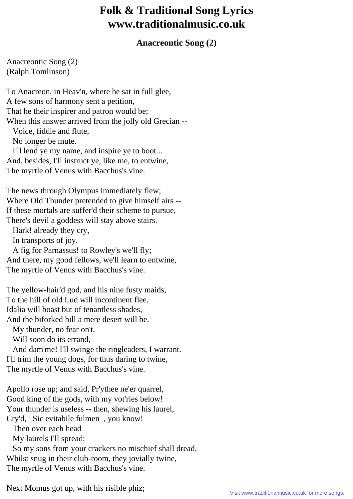## **Folk & Traditional Song Lyrics www.traditionalmusic.co.uk**

## **Anacreontic Song (2)**

Anacreontic Song (2) (Ralph Tomlinson)

To Anacreon, in Heav'n, where he sat in full glee, A few sons of harmony sent a petition, That he their inspirer and patron would be; When this answer arrived from the jolly old Grecian -- Voice, fiddle and flute, No longer be mute. I'll lend ye my name, and inspire ye to boot... And, besides, I'll instruct ye, like me, to entwine, The myrtle of Venus with Bacchus's vine.

The news through Olympus immediately flew; Where Old Thunder pretended to give himself airs -- If these mortals are suffer'd their scheme to pursue, There's devil a goddess will stay above stairs.

Hark! already they cry,

In transports of joy.

 A fig for Parnassus! to Rowley's we'll fly; And there, my good fellows, we'll learn to entwine, The myrtle of Venus with Bacchus's vine.

The yellow-hair'd god, and his nine fusty maids, To the hill of old Lud will incontinent flee. Idalia will boast but of tenantless shades, And the biforked hill a mere desert will be.

My thunder, no fear on't,

Will soon do its errand,

 And dam'me! I'll swinge the ringleaders, I warrant. I'll trim the young dogs, for thus daring to twine, The myrtle of Venus with Bacchus's vine.

Apollo rose up; and said, Pr'ythee ne'er quarrel, Good king of the gods, with my vot'ries below! Your thunder is useless -- then, shewing his laurel, Cry'd, Sic evitabile fulmen, you know! Then over each head My laurels I'll spread;

 So my sons from your crackers no mischief shall dread, Whilst snug in their club-room, they jovially twine, The myrtle of Venus with Bacchus's vine.